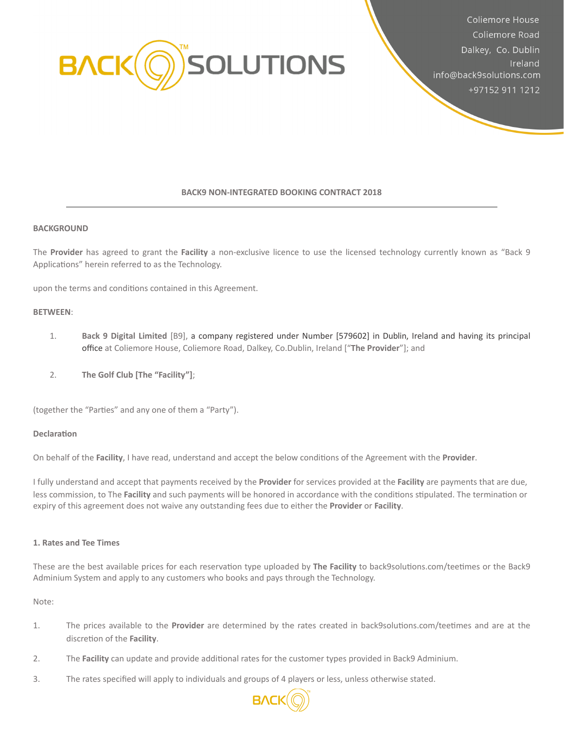

# **BACK9 NON-INTEGRATED BOOKING CONTRACT 2018**

### **BACKGROUND**

The **Provider** has agreed to grant the **Facility** a non-exclusive licence to use the licensed technology currently known as "Back 9 Applications" herein referred to as the Technology.

upon the terms and conditions contained in this Agreement.

#### **BETWEEN**:

- 1. **Back 9 Digital Limited** [B9], a company registered under Number [579602] in Dublin, Ireland and having its principal office at Coliemore House, Coliemore Road, Dalkey, Co.Dublin, Ireland ["**The Provider**"]; and
- 2. **The Golf Club [The "Facility"]**;

(together the "Parties" and any one of them a "Party").

## **Declaration**

On behalf of the Facility, I have read, understand and accept the below conditions of the Agreement with the Provider.

I fully understand and accept that payments received by the **Provider** for services provided at the **Facility** are payments that are due, less commission, to The Facility and such payments will be honored in accordance with the conditions stipulated. The termination or expiry of this agreement does not waive any outstanding fees due to either the **Provider** or **Facility**.

#### **1. Rates and Tee Times**

These are the best available prices for each reservation type uploaded by **The Facility** to back9solutions.com/teetimes or the Back9 Adminium System and apply to any customers who books and pays through the Technology.

Note:

- 1. The prices available to the **Provider** are determined by the rates created in back9solutions.com/teetimes and are at the discretion of the **Facility**.
- 2. The Facility can update and provide additional rates for the customer types provided in Back9 Adminium.
- 3. The rates specified will apply to individuals and groups of 4 players or less, unless otherwise stated.

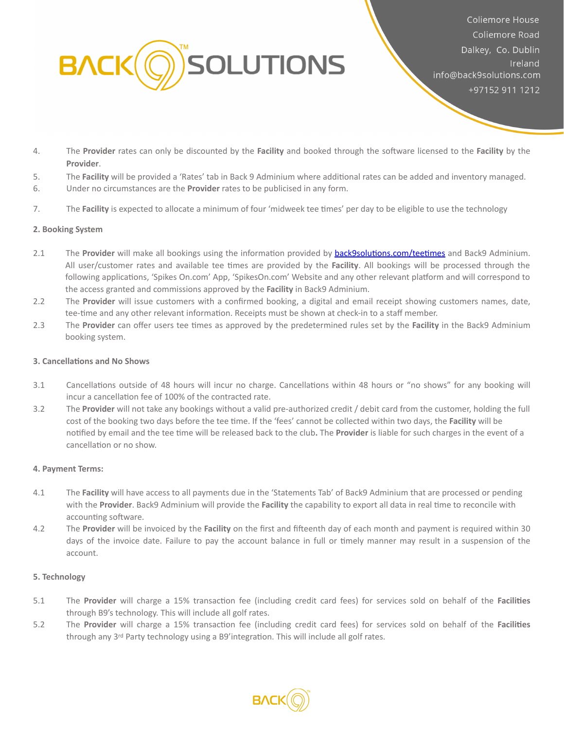

- 4. The Provider rates can only be discounted by the Facility and booked through the software licensed to the Facility by the **Provider**.
- 5. The Facility will be provided a 'Rates' tab in Back 9 Adminium where additional rates can be added and inventory managed.
- 6. Under no circumstances are the **Provider** rates to be publicised in any form.
- 7. The **Facility** is expected to allocate a minimum of four 'midweek tee times' per day to be eligible to use the technology

## **2. Booking System**

- 2.1 The **Provider** will make all bookings using the information provided by **back9solutions.com/teetimes** and Back9 Adminium. All user/customer rates and available tee times are provided by the **Facility**. All bookings will be processed through the following applications, 'Spikes On.com' App, 'SpikesOn.com' Website and any other relevant platform and will correspond to the access granted and commissions approved by the **Facility** in Back9 Adminium.
- 2.2 The **Provider** will issue customers with a confirmed booking, a digital and email receipt showing customers names, date, tee-time and any other relevant information. Receipts must be shown at check-in to a staff member.
- 2.3 The **Provider** can offer users tee times as approved by the predetermined rules set by the **Facility** in the Back9 Adminium booking system.

## **3. Cancellations and No Shows**

- 3.1 Cancellations outside of 48 hours will incur no charge. Cancellations within 48 hours or "no shows" for any booking will incur a cancellation fee of 100% of the contracted rate.
- 3.2 The **Provider** will not take any bookings without a valid pre-authorized credit / debit card from the customer, holding the full cost of the booking two days before the tee time. If the 'fees' cannot be collected within two days, the Facility will be notified by email and the tee time will be released back to the club. The **Provider** is liable for such charges in the event of a cancellation or no show.

### **4. Payment Terms:**

- 4.1 The **Facility** will have access to all payments due in the 'Statements Tab' of Back9 Adminium that are processed or pending with the **Provider**. Back9 Adminium will provide the Facility the capability to export all data in real time to reconcile with accounting software.
- 4.2 The **Provider** will be invoiced by the **Facility** on the first and fifteenth day of each month and payment is required within 30 days of the invoice date. Failure to pay the account balance in full or timely manner may result in a suspension of the account.

### **5. Technology**

- 5.1 The **Provider** will charge a 15% transaction fee (including credit card fees) for services sold on behalf of the **Facilities** through B9's technology. This will include all golf rates.
- 5.2 The **Provider** will charge a 15% transaction fee (including credit card fees) for services sold on behalf of the Facilities through any 3<sup>rd</sup> Party technology using a B9'integration. This will include all golf rates.

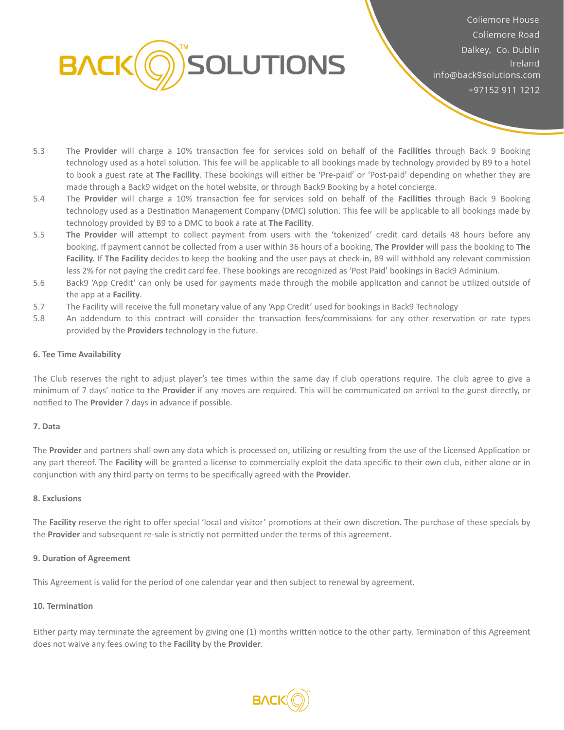

- 5.3 The **Provider** will charge a 10% transaction fee for services sold on behalf of the Facilities through Back 9 Booking technology used as a hotel solution. This fee will be applicable to all bookings made by technology provided by B9 to a hotel to book a guest rate at **The Facility**. These bookings will either be 'Pre-paid' or 'Post-paid' depending on whether they are made through a Back9 widget on the hotel website, or through Back9 Booking by a hotel concierge.
- 5.4 The **Provider** will charge a 10% transaction fee for services sold on behalf of the **Facilities** through Back 9 Booking technology used as a Destination Management Company (DMC) solution. This fee will be applicable to all bookings made by technology provided by B9 to a DMC to book a rate at **The Facility**.
- 5.5 The Provider will attempt to collect payment from users with the 'tokenized' credit card details 48 hours before any booking. If payment cannot be collected from a user within 36 hours of a booking, **The Provider** will pass the booking to **The Facility.** If **The Facility** decides to keep the booking and the user pays at check-in, B9 will withhold any relevant commission less 2% for not paying the credit card fee. These bookings are recognized as 'Post Paid' bookings in Back9 Adminium.
- 5.6 Back9 'App Credit' can only be used for payments made through the mobile application and cannot be utilized outside of the app at a **Facility**.
- 5.7 The Facility will receive the full monetary value of any 'App Credit' used for bookings in Back9 Technology
- 5.8 An addendum to this contract will consider the transaction fees/commissions for any other reservation or rate types provided by the **Providers** technology in the future.

## **6. Tee Time Availability**

The Club reserves the right to adjust player's tee times within the same day if club operations require. The club agree to give a minimum of 7 days' notice to the **Provider** if any moves are required. This will be communicated on arrival to the guest directly, or notified to The **Provider** 7 days in advance if possible.

### **7. Data**

The Provider and partners shall own any data which is processed on, utilizing or resulting from the use of the Licensed Application or any part thereof. The **Facility** will be granted a license to commercially exploit the data specific to their own club, either alone or in conjunction with any third party on terms to be specifically agreed with the **Provider**.

### **8. Exclusions**

The Facility reserve the right to offer special 'local and visitor' promotions at their own discretion. The purchase of these specials by the **Provider** and subsequent re-sale is strictly not permitted under the terms of this agreement.

# **9. Duration of Agreement**

This Agreement is valid for the period of one calendar year and then subject to renewal by agreement.

# **10. Termination**

Either party may terminate the agreement by giving one (1) months written notice to the other party. Termination of this Agreement does not waive any fees owing to the **Facility** by the **Provider**.